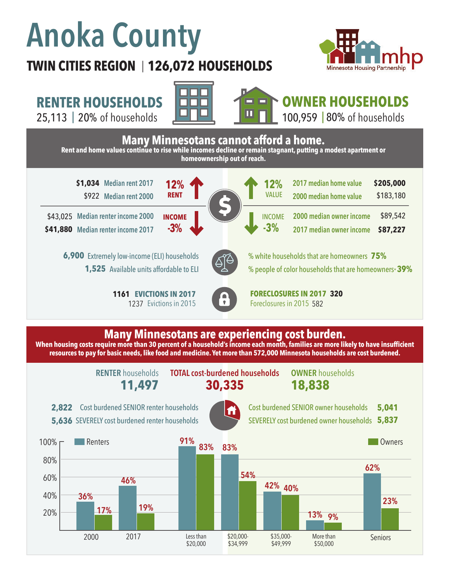# **Anoka County**

### **TWIN CITIES REGION 126,072 HOUSEHOLDS**  |



**RENTER HOUSEHOLDS**

25,113 | of households 20% 80%

60%

40%

20%

2000 2017

**46%**

**19%**

**17%**

**36%**





## **OWNER HOUSEHOLDS**

100,959 | 80% of households



Less than \$20,000

\$20,000- \$34,999 \$35,000- \$49,999

**42% 40%**

More than \$50,000

Seniors

**23%**

**13% 9%**